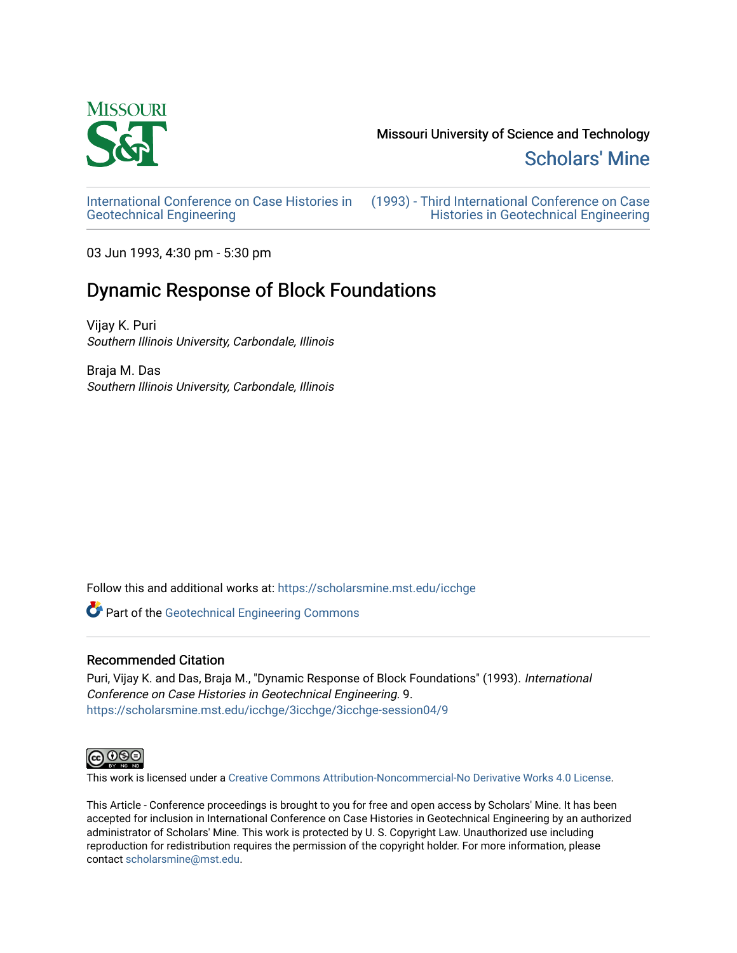

Missouri University of Science and Technology

[Scholars' Mine](https://scholarsmine.mst.edu/) 

[International Conference on Case Histories in](https://scholarsmine.mst.edu/icchge)  [Geotechnical Engineering](https://scholarsmine.mst.edu/icchge)

[\(1993\) - Third International Conference on Case](https://scholarsmine.mst.edu/icchge/3icchge)  [Histories in Geotechnical Engineering](https://scholarsmine.mst.edu/icchge/3icchge) 

03 Jun 1993, 4:30 pm - 5:30 pm

# Dynamic Response of Block Foundations

Vijay K. Puri Southern Illinois University, Carbondale, Illinois

Braja M. Das Southern Illinois University, Carbondale, Illinois

Follow this and additional works at: [https://scholarsmine.mst.edu/icchge](https://scholarsmine.mst.edu/icchge?utm_source=scholarsmine.mst.edu%2Ficchge%2F3icchge%2F3icchge-session04%2F9&utm_medium=PDF&utm_campaign=PDFCoverPages) 

Part of the [Geotechnical Engineering Commons](http://network.bepress.com/hgg/discipline/255?utm_source=scholarsmine.mst.edu%2Ficchge%2F3icchge%2F3icchge-session04%2F9&utm_medium=PDF&utm_campaign=PDFCoverPages) 

# Recommended Citation

Puri, Vijay K. and Das, Braja M., "Dynamic Response of Block Foundations" (1993). International Conference on Case Histories in Geotechnical Engineering. 9. [https://scholarsmine.mst.edu/icchge/3icchge/3icchge-session04/9](https://scholarsmine.mst.edu/icchge/3icchge/3icchge-session04/9?utm_source=scholarsmine.mst.edu%2Ficchge%2F3icchge%2F3icchge-session04%2F9&utm_medium=PDF&utm_campaign=PDFCoverPages) 



This work is licensed under a [Creative Commons Attribution-Noncommercial-No Derivative Works 4.0 License.](https://creativecommons.org/licenses/by-nc-nd/4.0/)

This Article - Conference proceedings is brought to you for free and open access by Scholars' Mine. It has been accepted for inclusion in International Conference on Case Histories in Geotechnical Engineering by an authorized administrator of Scholars' Mine. This work is protected by U. S. Copyright Law. Unauthorized use including reproduction for redistribution requires the permission of the copyright holder. For more information, please contact [scholarsmine@mst.edu](mailto:scholarsmine@mst.edu).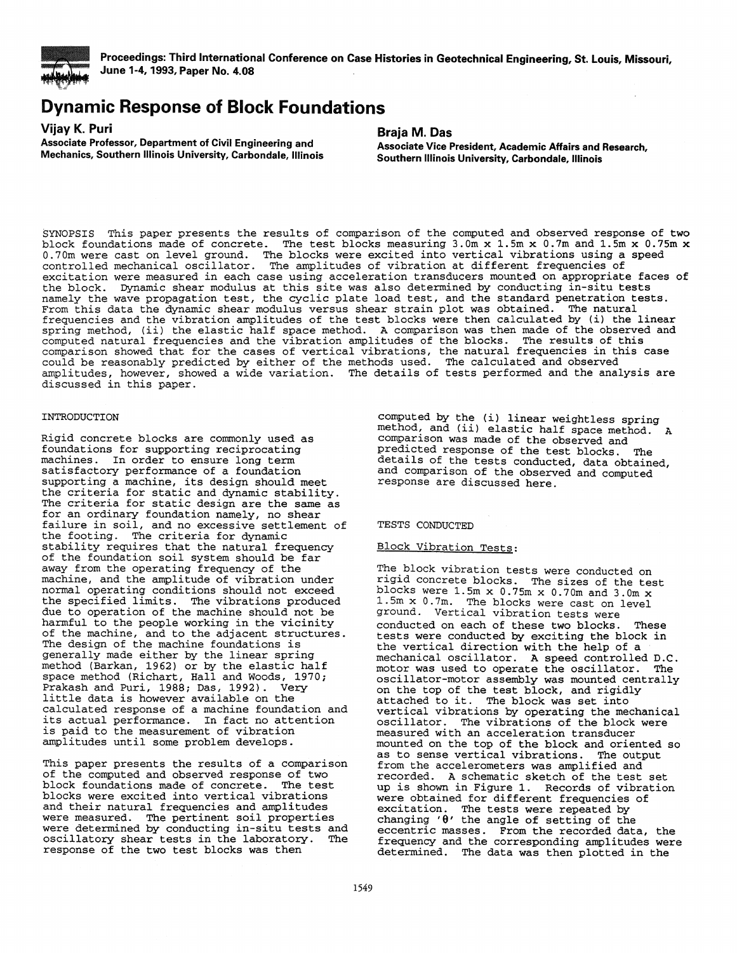

*==* 

!!! **Proceedings: Third International Conference on Case Histories in Geotechnical Engineering, St. Louis, Missouri, June 1-4, 1993, Paper No. 4.08** .

# **Dynamic Response of Block Foundations**

**Vijay K. Puri** 

**Associate Professor, Department of Civil Engineering and Mechanics, Southern Illinois University, Carbondale, Illinois** 

### **Braja M. Das**

**Associate Vice President, Academic Affairs and Research, Southern Illinois University, Carbondale, Illinois** 

SYNOPSIS This paper presents the results of comparison of the computed and observed response of two block foundations made of concrete. The test blocks measuring  $3.0m \times 1.5m \times 0.7m$  and  $1.5m \times 0.75m \times$ 0.70m were cast on level ground. The blocks were excited into vertical vibrations using a speed controlled mechanical oscillator. The amplitudes of vibration at different frequencies of excitation were measured in each case using acceleration transducers mounted on appropriate faces of the block. Dynamic shear modulus at this site was also determined by conducting in-situ tests namely the wave propagation test, the cyclic plate load test, and the standard penetration tests. From this data the dynamic shear modulus versus shear strain plot was obtained. The natural . frequencies and the vibration amplitudes of the test blocks were then calculated by (i) the linear spring method, (ii) the elastic half space method. A comparison was then made of the observed and computed natural frequencies and the vibration amplitudes of the blocks. The results of this comparison showed that for the cases of vertical vibrations, the natural frequencies in this case could be reasonably predicted by either of the methods used. The calculated and observed<br>amplitudes, however, showed a wide variation. The details of tests performed and the analysis are amplitudes, however, showed a wide variation. The details of tests performed and the analysis are discussed in this paper.

#### INTRODUCTION

Rigid concrete blocks are commonly used as foundations for supporting reciprocating machines. In order to ensure long term satisfactory performance of a foundation supporting a machine, its design should meet<br>the criteria for static and dynamic stability. The criteria for static design are the same as for an ordinary foundation namely, no shear failure in soil, and no excessive settlement of the footing. The criteria for dynamic stability requires that the natural frequency of the foundation soil system should be far away from the operating frequency of the machine, and the amplitude of vibration under normal operating conditions should not exceed the specified limits. The vibrations produced due to operation of the machine should not be harmful to the people working in the vicinity of the machine, and to the adjacent structures. The design of the machine foundations is generally made either by the linear spring method (Barkan, 1962) or by the elastic half space method (Richart, Hall and Woods, 1970; Prakash and Puri, 1988; Das, 1992). Very little data is however available on the calculated response of a machine foundation and its actual performance. In fact no attention is paid to the measurement of vibration amplitudes until some problem develops.

This paper presents the results of a comparison of the computed and observed response of two block foundations made of concrete. The test blocks were excited into vertical vibrations and their natural frequencies and amplitudes were measured. The pertinent soil properties were determined by conducting in-situ tests and<br>oscillatory shear tests in the laboratory. The oscillatory shear tests in the laboratory. The response of the two test blocks was then

computed by the (i) linear weightless spring method, and (ii) elastic half space method. A comparison was made of the observed and<br>predicted response of the test blocks. The predicted response of the test blocks. details of the tests conducted, data obtained, and comparison of the observed and computed response are discussed here.

#### TESTS CONDUCTED

## Block Vibration Tests:

The block vibration tests were conducted on rigid concrete blocks. The sizes of the test blocks were 1.5m  $x$  0.75m  $x$  0.70m and 3.0m  $x$ 1.5m x 0.7m. The blocks were cast on level ground. Vertical vibration tests were conducted on each of these two blocks. These tests were conducted by exciting the block in the vertical direction with the help of a mechanical oscillator. A speed controlled D.C.<br>motor was used to operate the oscillator. The motor was used to operate the oscillator. oscillator-motor assembly was mounted centrally on the top of the test block, and rigidly attached to it. The block was set into attached to it. The block was set into<br>vertical vibrations by operating the mechanical oscillator. The vibrations of the block were measured with an acceleration transducer mounted on the top of the block and oriented so<br>as to sense vertical vibrations. The output from the accelerometers was amplified and recorded. A schematic sketch of the test set up is shown in Figure 1. Records of vibration were obtained for different frequencies of excitation. The tests were repeated by changing **'9'** the angle of setting of the eccentric masses. From the recorded data, the frequency and the corresponding amplitudes were determined. The data was then plotted in the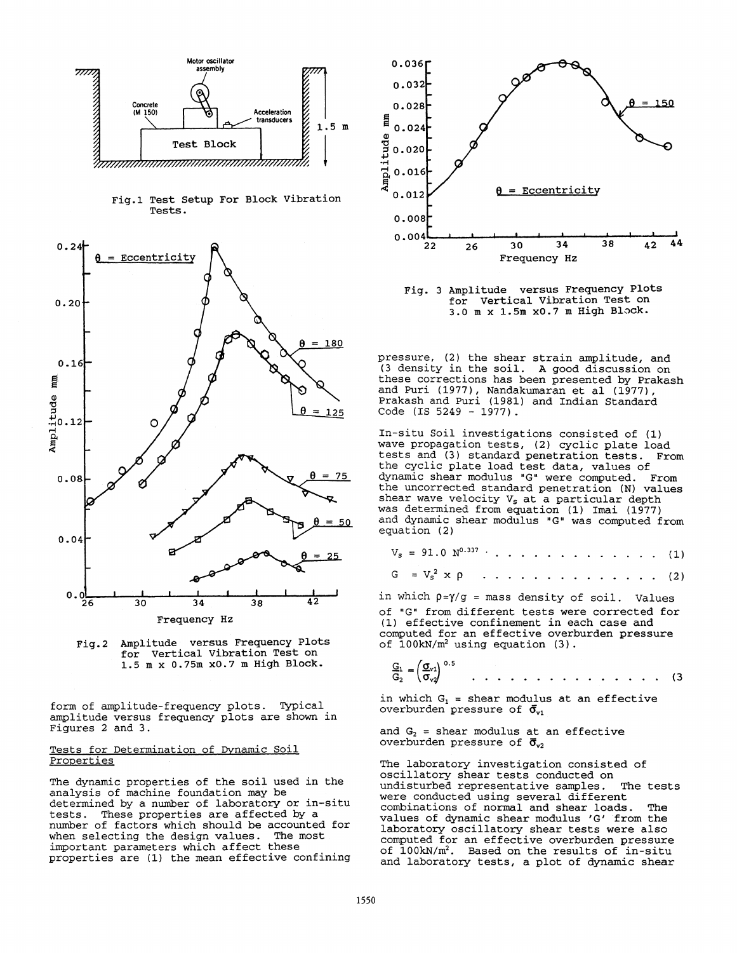

Fig.1 Test setup For Block Vibration Tests.





form of amplitude-frequency plots. Typical. amplitude versus frequency plots are shown in Figures 2 and 3.

#### Tests for Determination of Dynamic Soil Properties

The dynamic properties of the soil used *in* the analysis of machine foundation may be determined by a number of laboratory or in-situ tests. These properties are affected by a number of factors which should be accounted for when selecting the design values. The most important parameters which affect these<br>properties are (1) the mean effective confining



Fig. 3 Amplitude versus Frequency Plots for vertical Vibration Test on 3.0 m x 1.5m x0.7 m High Block.

pressure, (2) the shear strain amplitude, and (3 density in the soil. A good discussion on these corrections has been presented by Prakash and Puri (1977), Nandakumaran et al (1977), Prakash and Puri (1981) and Indian Standard Code (IS 5249 - 1977).

In-situ Soil investigations consisted of (1) wave propagation tests, (2) cyclic plate load tests and (3) standard penetration tests. From the cyclic plate load test data, values of dynamic shear modulus "G" were computed. From the uncorrected standard penetration (N) values shear wave velocity  $V_s$  at a particular depth was determined from equation (1) Imai (1977) and dynamic shear modulus "G" was computed from equation (2)

$$
V_s = 91.0 N^{0.337} \cdot \cdot \cdot \cdot \cdot \cdot \cdot \cdot \cdot \cdot \cdot \cdot \cdot \cdot (1)
$$

$$
G = V_s^2 \times \rho \qquad \ldots \qquad \ldots \qquad (2)
$$

in which  $p=\gamma/g$  = mass density of soil. Values of "G" from different tests were corrected for (1) effective confinement in each case and computed for an effective overburden pressure of  $100 \text{kN/m}^2$  using equation (3).

$$
\frac{G_1}{G_2} = \left(\frac{G_{v1}}{\sigma_{v2}}\right)^{0.5} \qquad \qquad \ldots \qquad \ldots \qquad \ldots \qquad \ldots \qquad \ldots \qquad (3)
$$

in which  $G_1$  = shear modulus at an effective overburden pressure of  $\bar{\sigma}_{v1}$ 

and  $G_2$  = shear modulus at an effective overburden pressure of  $\bar{\sigma}_{v2}$ 

The laboratory investigation consisted of oscillatory shear tests conducted on undisturbed representative samples. The tests were conducted using several different combinations of normal and shear loads. The values of dynamic shear modulus 'G' from the laboratory oscillatory shear tests were also computed for an effective overburden pressure of  $100kN/m^2$ . Based on the results of in-situ and laboratory tests, a plot of dynamic shear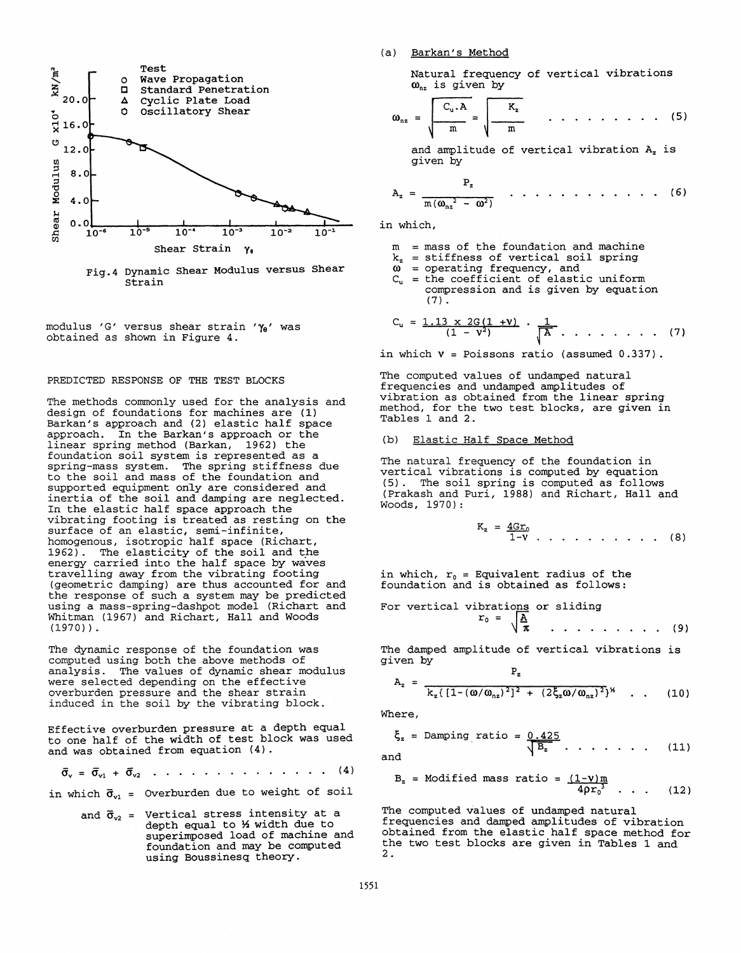

Fig.4 Dynamic Shear Modulus versus Shear strain

modulus 'G' versus shear strain 'Ye' was obtained as shown in Figure 4.

#### PREDICTED RESPONSE OF THE TEST BLOCKS

The methods commonly used for the analysis and design of foundations for machines are (1) Barkan's approach and (2) elastic half space approach. In the Barkan's approach or the linear spring method (Barkan, 1962) the foundation soil system is represented as a spring-mass system. The spring stiffness due to the soil and mass of the foundation and supported equipment only are considered and inertia of the soil and damping are neglected. In the elastic half space approach the vibrating footing is treated as resting on the surface of an elastic, semi-infinite, homogenous, isotropic half space (Richart, 1962). The elasticity of the soil and the energy carried into the half space by waves travelling away from the vibrating footing (geometric damping) are thus accounted for and the response of such a system may be predicted using a mass-spring-dashpot model (Richart and Whitman (1967) and Richart, Hall and Woods (1970)).

The dynamic response of the foundation was computed using both the above methods of analysis. The values of dynamic shear modulus were selected depending on the effective overburden pressure and the shear strain induced in the soil by the vibrating block.

Effective overburden pressure at a depth equal to one half of the width of test block was used and was obtained from equation (4) .

$$
\bar{\sigma}_{v} = \bar{\sigma}_{v1} + \bar{\sigma}_{v2} \ldots \ldots \ldots \ldots \ldots \ldots \ldots \ldots (4)
$$

in which  $\bar{\sigma}_{v1}$  = Overburden due to weight of soil

and  $\bar{\sigma}_{v2}$  = Vertical stress intensity at a depth equal to *1* width due to superimposed load of machine and foundation and may be computed using Boussinesq theory.

#### (a) Barkan's Method

Natural frequency of vertical vibrations  $\omega_{nz}$  is given by

$$
\omega_{nz} = \sqrt{\frac{C_u \cdot A}{m}} = \sqrt{\frac{K_z}{m}} \qquad \ldots \qquad \ldots \qquad (5)
$$

and amplitude of vertical vibration A<sub>z</sub> is given by

$$
A_z = \frac{P_z}{m(\omega_{nz}^2 - \omega^2)} \qquad \qquad \ldots \qquad \ldots \qquad (6)
$$

in which,

- $=$  mass of the foundation and machine
- $k_z$  = stiffness of vertical soil spring<br> $\omega$  = operating frequency, and
	-
- $C_{u}$  = the coefficient of elastic uniform compression and is given by equation (7).

$$
C_u = \frac{1.13 \times 2G(1 + v)}{(1 - v^2)} \cdot \frac{1}{\begin{bmatrix} A & \dots & \dots & \dots & (7) \end{bmatrix}}
$$

in which  $v = Poisson's ratio$  (assumed  $0.337$ ).

The computed values of undamped natural frequencies and undamped amplitudes of<br>vibration as obtained from the linear spring method, for the two test blocks, are given in  $Tables 1 and 2.$ 

#### (b) Elastic Half Space Method

The natural frequency of the foundation in vertical vibrations is computed by equation (5) . The soil spring is computed as follows (Prakash and Puri, 1988) and Richart, Hall and Woods, 1970):

$$
K_z = \frac{4Gr_0}{1 - V} \dots \dots \dots \dots \dots \tag{8}
$$

in which,  $r_0$  = Equivalent radius of the foundation and is obtained as follows:

For vertical vibrations or sliding  

$$
r_0 = \sqrt{\frac{A}{\pi}}
$$
 ... ... ... (9)

The damped amplitude of vertical vibrations is given by

$$
A_z = \frac{z_z}{k_z \left[1 - (\omega/\omega_{nz})^2\right]^2 + (2\xi_z \omega/\omega_{nz})^2} \quad . \quad . \quad (10)
$$

Where,

$$
\xi_z = \text{Damping ratio} = \frac{0.425}{\sqrt{B_z}} \dots \dots \dots \quad (11)
$$

and

$$
B_z = \text{Modified mass ratio} = \frac{(1-\nu)m}{4\rho r_0^3} \quad . \quad . \quad (12)
$$

The computed values of undamped natural frequencies and damped amplitudes of vibration obtained from the elastic half space method for the two test blocks are given in Tables 1 and 2.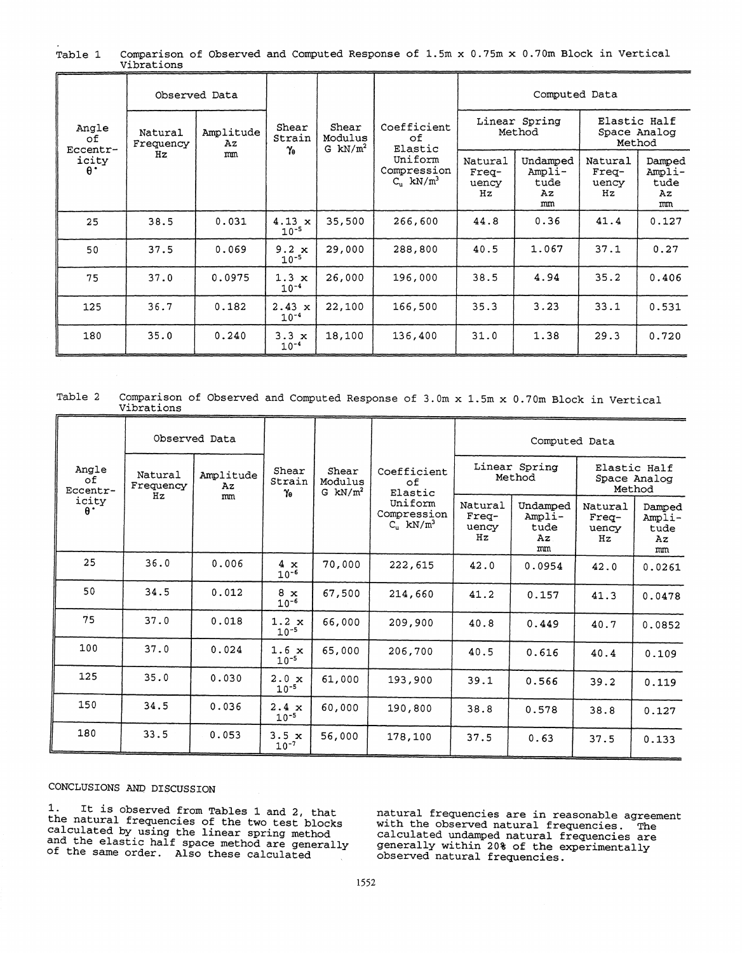|                                                | Observed Data              |                       |                                  |                                |                                                                           | Computed Data                   |                                        |                                        |                                      |
|------------------------------------------------|----------------------------|-----------------------|----------------------------------|--------------------------------|---------------------------------------------------------------------------|---------------------------------|----------------------------------------|----------------------------------------|--------------------------------------|
| Angle<br>оf<br>Eccentr-<br>icity<br>$\theta$ . | Natural<br>Frequency<br>Hz | Amplitude<br>Az<br>mm | Shear<br>Strain<br>Ye            | Shear<br>Modulus<br>G $kN/m^2$ | Coefficient<br>оf<br>Elastic<br>Uniform<br>Compression<br>$C_n$ kN/ $m^3$ | Linear Spring<br>Method         |                                        | Elastic Half<br>Space Analog<br>Method |                                      |
|                                                |                            |                       |                                  |                                |                                                                           | Natural<br>Freq-<br>uency<br>Hz | Undamped<br>Ampli-<br>tude<br>Αz<br>mm | Natural<br>$Free-$<br>uency<br>Hz      | Damped<br>Ampli-<br>tude<br>Az<br>mm |
| 25                                             | 38.5                       | 0.031                 | $4.13 \times$<br>$10^{-5}$       | 35,500                         | 266,600                                                                   | 44.8                            | 0.36                                   | 41.4                                   | 0.127                                |
| 50                                             | 37.5                       | 0.069                 | $9.2 \times$<br>$10^{-5}$        | 29,000                         | 288,800                                                                   | 40.5                            | 1.067                                  | 37.1                                   | 0.27                                 |
| 75                                             | 37.0                       | 0.0975                | $1.3 \times$<br>$10^{-4}$        | 26,000                         | 196,000                                                                   | 38.5                            | 4.94                                   | 35.2                                   | 0.406                                |
| 125                                            | 36.7                       | 0.182                 | $2.43 \times$<br>$10^{-4}$       | 22,100                         | 166,500                                                                   | 35.3                            | 3.23                                   | 33.1                                   | 0.531                                |
| 180                                            | 35.0                       | 0.240                 | 3.3<br>$\mathbf{x}$<br>$10^{-4}$ | 18,100                         | 136,400                                                                   | 31.0                            | 1.38                                   | 29.3                                   | 0.720                                |

Comparison of Observed and Computed Response of 1.5m x 0.75m x 0.70m Block in Vertical Table 1 Vibrations

Comparison of Observed and Computed Response of 3.0m x 1.5m x 0.70m Block in Vertical Table 2 Vibrations

| Angle<br>оf<br>Eccentr-<br>icity<br>$\theta$ . | Observed Data              |                       |                           |                                |                                                                                         | Computed Data                   |                                        |                                        |                                      |
|------------------------------------------------|----------------------------|-----------------------|---------------------------|--------------------------------|-----------------------------------------------------------------------------------------|---------------------------------|----------------------------------------|----------------------------------------|--------------------------------------|
|                                                | Natural<br>Frequency<br>Hz | Amplitude<br>Az<br>mm | Shear<br>Strain<br>Ye     | Shear<br>Modulus<br>G $kN/m^2$ | Coefficient<br>οf<br>Elastic<br>Uniform<br>Compression<br>$C_{\rm u}$ kN/m <sup>3</sup> | Linear Spring<br>Method         |                                        | Elastic Half<br>Space Analog<br>Method |                                      |
|                                                |                            |                       |                           |                                |                                                                                         | Natural<br>Freq-<br>uency<br>Hz | Undamped<br>Ampli-<br>tude<br>Az<br>mm | Natural<br>Freq-<br>uency<br>Hz        | Damped<br>Ampli-<br>tude<br>Az<br>mm |
| 25                                             | 36.0                       | 0.006                 | 4 x<br>$10^{-6}$          | 70,000                         | 222,615                                                                                 | 42.0                            | 0.0954                                 | 42.0                                   | 0.0261                               |
| 50                                             | 34.5                       | 0.012                 | $8 \times$<br>$10^{-6}$   | 67,500                         | 214,660                                                                                 | 41.2                            | 0.157                                  | 41.3                                   | 0.0478                               |
| 75                                             | 37.0                       | 0.018                 | $1.2 \times$<br>$10^{-5}$ | 66,000                         | 209,900                                                                                 | 40.8                            | 0.449                                  | 40.7                                   | 0.0852                               |
| 100                                            | 37.0                       | 0.024                 | $1.6 \times$<br>$10^{-5}$ | 65,000                         | 206,700                                                                                 | 40.5                            | 0.616                                  | 40.4                                   | 0.109                                |
| 125                                            | 35.0                       | 0.030                 | $2.0 \times$<br>$10^{-5}$ | 61,000                         | 193,900                                                                                 | 39.1                            | 0.566                                  | 39.2                                   | 0.119                                |
| 150                                            | 34.5                       | 0.036                 | $2.4 \times$<br>$10^{-5}$ | 60,000                         | 190,800                                                                                 | 38.8                            | 0.578                                  | 38.8                                   | 0.127                                |
| 180                                            | 33.5                       | 0.053                 | 3.5x<br>$10^{-7}$         | 56,000                         | 178,100                                                                                 | 37.5                            | 0.63                                   | 37.5                                   | 0.133                                |

### CONCLUSIONS AND DISCUSSION

1. It is observed from Tables 1 and 2, that<br>the natural frequencies of the two test blocks calculated by using the linear spring method<br>and the elastic half space method are generally<br>of the same order. Also these calculated

natural frequencies are in reasonable agreement with the observed natural frequencies. The calculated undamped natural frequencies are<br>generally within 20% of the experimentally observed natural frequencies.